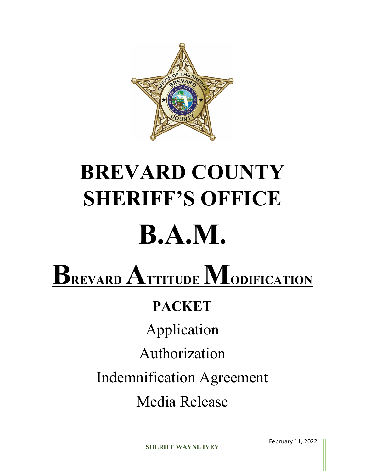

# **BREVARD COUNTY SHERIFF'S OFFICE B.A.M.**

## **B**REVARD **ATTITUDE MODIFICATION**

## **PACKET**

Application

Authorization

Indemnification Agreement

Media Release

**SHERIFF WAYNE IVEY**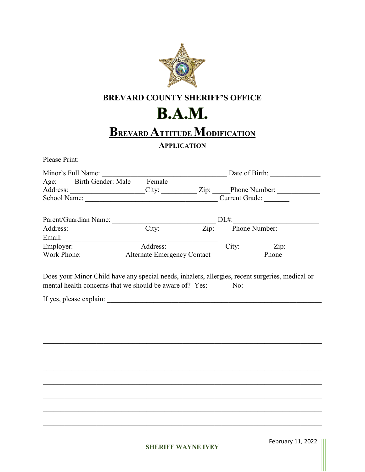

#### **BREVARD COUNTY SHERIFF'S OFFICE**

## **B.A.M.**

## **BREVARD ATTITUDE MODIFICATION**

#### **APPLICATION**

Please Print:

|  | Minor's Full Name:<br>Age: _____ Birth Gender: Male ____ Female _____ Date of Birth: _________________ |  |  |  |
|--|--------------------------------------------------------------------------------------------------------|--|--|--|
|  |                                                                                                        |  |  |  |
|  |                                                                                                        |  |  |  |
|  |                                                                                                        |  |  |  |
|  |                                                                                                        |  |  |  |
|  |                                                                                                        |  |  |  |
|  |                                                                                                        |  |  |  |
|  |                                                                                                        |  |  |  |
|  |                                                                                                        |  |  |  |
|  |                                                                                                        |  |  |  |
|  |                                                                                                        |  |  |  |
|  |                                                                                                        |  |  |  |
|  |                                                                                                        |  |  |  |
|  |                                                                                                        |  |  |  |
|  |                                                                                                        |  |  |  |
|  |                                                                                                        |  |  |  |
|  |                                                                                                        |  |  |  |
|  |                                                                                                        |  |  |  |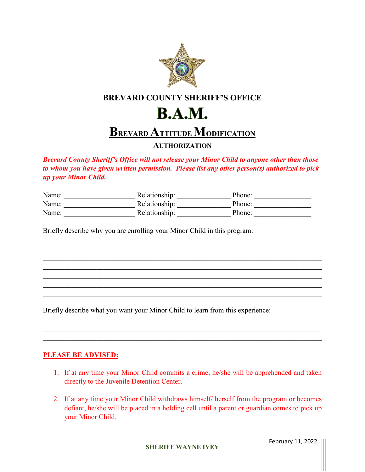

#### **BREVARD COUNTY SHERIFF'S OFFICE**

## **B.A.M.**

## **BREVARD ATTITUDE MODIFICATION**

#### **AUTHORIZATION**

*Brevard County Sheriff's Office will not release your Minor Child to anyone other than those to whom you have given written permission. Please list any other person(s) authorized to pick up your Minor Child.*

| Name: | Relationship: | Phone: |
|-------|---------------|--------|
| Name: | Relationship: | Phone: |
| Name: | Relationship: | Phone: |

\_\_\_\_\_\_\_\_\_\_\_\_\_\_\_\_\_\_\_\_\_\_\_\_\_\_\_\_\_\_\_\_\_\_\_\_\_\_\_\_\_\_\_\_\_\_\_\_\_\_\_\_\_\_\_\_\_\_\_\_\_\_\_\_\_\_\_\_\_\_\_\_\_\_\_\_\_\_

\_\_\_\_\_\_\_\_\_\_\_\_\_\_\_\_\_\_\_\_\_\_\_\_\_\_\_\_\_\_\_\_\_\_\_\_\_\_\_\_\_\_\_\_\_\_\_\_\_\_\_\_\_\_\_\_\_\_\_\_\_\_\_\_\_\_\_\_\_\_\_\_\_\_\_\_\_\_  $\mathcal{L}_\mathcal{L} = \mathcal{L}_\mathcal{L} = \mathcal{L}_\mathcal{L} = \mathcal{L}_\mathcal{L} = \mathcal{L}_\mathcal{L} = \mathcal{L}_\mathcal{L} = \mathcal{L}_\mathcal{L} = \mathcal{L}_\mathcal{L} = \mathcal{L}_\mathcal{L} = \mathcal{L}_\mathcal{L} = \mathcal{L}_\mathcal{L} = \mathcal{L}_\mathcal{L} = \mathcal{L}_\mathcal{L} = \mathcal{L}_\mathcal{L} = \mathcal{L}_\mathcal{L} = \mathcal{L}_\mathcal{L} = \mathcal{L}_\mathcal{L}$ \_\_\_\_\_\_\_\_\_\_\_\_\_\_\_\_\_\_\_\_\_\_\_\_\_\_\_\_\_\_\_\_\_\_\_\_\_\_\_\_\_\_\_\_\_\_\_\_\_\_\_\_\_\_\_\_\_\_\_\_\_\_\_\_\_\_\_\_\_\_\_\_\_\_\_\_\_\_ \_\_\_\_\_\_\_\_\_\_\_\_\_\_\_\_\_\_\_\_\_\_\_\_\_\_\_\_\_\_\_\_\_\_\_\_\_\_\_\_\_\_\_\_\_\_\_\_\_\_\_\_\_\_\_\_\_\_\_\_\_\_\_\_\_\_\_\_\_\_\_\_\_\_\_\_\_\_

Briefly describe why you are enrolling your Minor Child in this program:

Briefly describe what you want your Minor Child to learn from this experience:

#### **PLEASE BE ADVISED:**

1. If at any time your Minor Child commits a crime, he/she will be apprehended and taken directly to the Juvenile Detention Center.

\_\_\_\_\_\_\_\_\_\_\_\_\_\_\_\_\_\_\_\_\_\_\_\_\_\_\_\_\_\_\_\_\_\_\_\_\_\_\_\_\_\_\_\_\_\_\_\_\_\_\_\_\_\_\_\_\_\_\_\_\_\_\_\_\_\_\_\_\_\_\_\_\_\_\_\_\_\_

2. If at any time your Minor Child withdraws himself/ herself from the program or becomes defiant, he/she will be placed in a holding cell until a parent or guardian comes to pick up your Minor Child.

**SHERIFF WAYNE IVEY**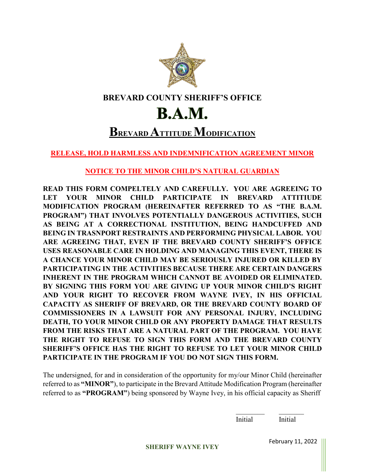

#### **BREVARD COUNTY SHERIFF'S OFFICE**

## **B.A.M.**

### **BREVARD ATTITUDE MODIFICATION**

**RELEASE, HOLD HARMLESS AND INDEMNIFICATION AGREEMENT MINOR**

**NOTICE TO THE MINOR CHILD'S NATURAL GUARDIAN**

**READ THIS FORM COMPELTELY AND CAREFULLY. YOU ARE AGREEING TO LET YOUR MINOR CHILD PARTICIPATE IN BREVARD ATTITIUDE MODIFICATION PROGRAM (HEREINAFTER REFERRED TO AS "THE B.A.M. PROGRAM") THAT INVOLVES POTENTIALLY DANGEROUS ACTIVITIES, SUCH AS BEING AT A CORRECTIONAL INSTITUTION, BEING HANDCUFFED AND BEING IN TRASNPORT RESTRAINTS AND PERFORMING PHYSICAL LABOR. YOU ARE AGREEING THAT, EVEN IF THE BREVARD COUNTY SHERIFF'S OFFICE USES REASONABLE CARE IN HOLDING AND MANAGING THIS EVENT, THERE IS A CHANCE YOUR MINOR CHILD MAY BE SERIOUSLY INJURED OR KILLED BY PARTICIPATING IN THE ACTIVITIES BECAUSE THERE ARE CERTAIN DANGERS INHERENT IN THE PROGRAM WHICH CANNOT BE AVOIDED OR ELIMINATED. BY SIGNING THIS FORM YOU ARE GIVING UP YOUR MINOR CHILD'S RIGHT AND YOUR RIGHT TO RECOVER FROM WAYNE IVEY, IN HIS OFFICIAL CAPACITY AS SHERIFF OF BREVARD, OR THE BREVARD COUNTY BOARD OF COMMISSIONERS IN A LAWSUIT FOR ANY PERSONAL INJURY, INCLUDING DEATH, TO YOUR MINOR CHILD OR ANY PROPERTY DAMAGE THAT RESULTS FROM THE RISKS THAT ARE A NATURAL PART OF THE PROGRAM. YOU HAVE THE RIGHT TO REFUSE TO SIGN THIS FORM AND THE BREVARD COUNTY SHERIFF'S OFFICE HAS THE RIGHT TO REFUSE TO LET YOUR MINOR CHILD PARTICIPATE IN THE PROGRAM IF YOU DO NOT SIGN THIS FORM.**

The undersigned, for and in consideration of the opportunity for my/our Minor Child (hereinafter referred to as **"MINOR"**), to participate in the Brevard Attitude Modification Program (hereinafter referred to as **"PROGRAM"**) being sponsored by Wayne Ivey, in his official capacity as Sheriff

> $\_$ Initial Initial

**SHERIFF WAYNE IVEY**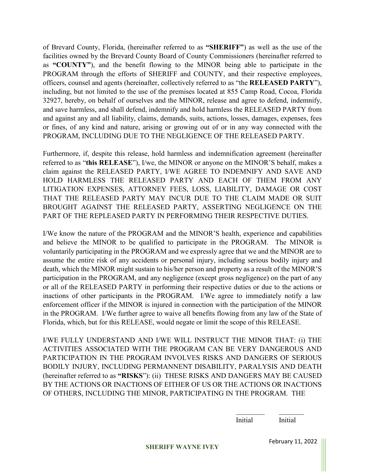of Brevard County, Florida, (hereinafter referred to as **"SHERIFF"**) as well as the use of the facilities owned by the Brevard County Board of County Commissioners (hereinafter referred to as **"COUNTY"**), and the benefit flowing to the MINOR being able to participate in the PROGRAM through the efforts of SHERIFF and COUNTY, and their respective employees, officers, counsel and agents (hereinafter, collectively referred to as "the **RELEASED PARTY**"), including, but not limited to the use of the premises located at 855 Camp Road, Cocoa, Florida 32927, hereby, on behalf of ourselves and the MINOR, release and agree to defend, indemnify, and save harmless, and shall defend, indemnify and hold harmless the RELEASED PARTY from and against any and all liability, claims, demands, suits, actions, losses, damages, expenses, fees or fines, of any kind and nature, arising or growing out of or in any way connected with the PROGRAM, INCLUDING DUE TO THE NEGLIGENCE OF THE RELEASED PARTY.

Furthermore, if, despite this release, hold harmless and indemnification agreement (hereinafter referred to as "**this RELEASE**"), I/we, the MINOR or anyone on the MINOR'S behalf, makes a claim against the RELEASED PARTY, I/WE AGREE TO INDEMNIFY AND SAVE AND HOLD HARMLESS THE RELEASED PARTY AND EACH OF THEM FROM ANY LITIGATION EXPENSES, ATTORNEY FEES, LOSS, LIABILITY, DAMAGE OR COST THAT THE RELEASED PARTY MAY INCUR DUE TO THE CLAIM MADE OR SUIT BROUGHT AGAINST THE RELEASED PARTY, ASSERTING NEGLIGENCE ON THE PART OF THE REPLEASED PARTY IN PERFORMING THEIR RESPECTIVE DUTIES.

I/We know the nature of the PROGRAM and the MINOR'S health, experience and capabilities and believe the MINOR to be qualified to participate in the PROGRAM. The MINOR is voluntarily participating in the PROGRAM and we expressly agree that we and the MINOR are to assume the entire risk of any accidents or personal injury, including serious bodily injury and death, which the MINOR might sustain to his/her person and property as a result of the MINOR'S participation in the PROGRAM, and any negligence (except gross negligence) on the part of any or all of the RELEASED PARTY in performing their respective duties or due to the actions or inactions of other participants in the PROGRAM. I/We agree to immediately notify a law enforcement officer if the MINOR is injured in connection with the participation of the MINOR in the PROGRAM. I/We further agree to waive all benefits flowing from any law of the State of Florida, which, but for this RELEASE, would negate or limit the scope of this RELEASE.

I/WE FULLY UNDERSTAND AND I/WE WILL INSTRUCT THE MINOR THAT: (i) THE ACTIVITIES ASSOCIATED WITH THE PROGRAM CAN BE VERY DANGEROUS AND PARTICIPATION IN THE PROGRAM INVOLVES RISKS AND DANGERS OF SERIOUS BODILY INJURY, INCLUDING PERMANNENT DISABILITY, PARALYSIS AND DEATH (hereinafter referred to as **"RISKS**"): (ii) THESE RISKS AND DANGERS MAY BE CAUSED BY THE ACTIONS OR INACTIONS OF EITHER OF US OR THE ACTIONS OR INACTIONS OF OTHERS, INCLUDING THE MINOR, PARTICIPATING IN THE PROGRAM. THE

> $\_$ Initial Initial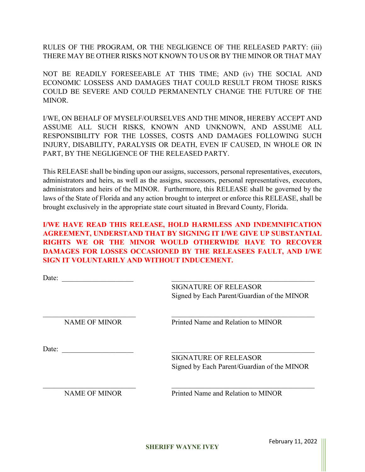RULES OF THE PROGRAM, OR THE NEGLIGENCE OF THE RELEASED PARTY: (iii) THERE MAY BE OTHER RISKS NOT KNOWN TO US OR BY THE MINOR OR THAT MAY

NOT BE READILY FORESEEABLE AT THIS TIME; AND (iv) THE SOCIAL AND ECONOMIC LOSSESS AND DAMAGES THAT COULD RESULT FROM THOSE RISKS COULD BE SEVERE AND COULD PERMANENTLY CHANGE THE FUTURE OF THE MINOR.

I/WE, ON BEHALF OF MYSELF/OURSELVES AND THE MINOR, HEREBY ACCEPT AND ASSUME ALL SUCH RISKS, KNOWN AND UNKNOWN, AND ASSUME ALL RESPONSIBILITY FOR THE LOSSES, COSTS AND DAMAGES FOLLOWING SUCH INJURY, DISABILITY, PARALYSIS OR DEATH, EVEN IF CAUSED, IN WHOLE OR IN PART, BY THE NEGLIGENCE OF THE RELEASED PARTY.

This RELEASE shall be binding upon our assigns, successors, personal representatives, executors, administrators and heirs, as well as the assigns, successors, personal representatives, executors, administrators and heirs of the MINOR. Furthermore, this RELEASE shall be governed by the laws of the State of Florida and any action brought to interpret or enforce this RELEASE, shall be brought exclusively in the appropriate state court situated in Brevard County, Florida.

**I/WE HAVE READ THIS RELEASE, HOLD HARMLESS AND INDEMNIFICATION AGREEMENT, UNDERSTAND THAT BY SIGNING IT I/WE GIVE UP SUBSTANTIAL RIGHTS WE OR THE MINOR WOULD OTHERWIDE HAVE TO RECOVER DAMAGES FOR LOSSES OCCASIONED BY THE RELEASEES FAULT, AND I/WE SIGN IT VOLUNTARILY AND WITHOUT INDUCEMENT.**

| Date: |                      |                                             |
|-------|----------------------|---------------------------------------------|
|       |                      | <b>SIGNATURE OF RELEASOR</b>                |
|       |                      | Signed by Each Parent/Guardian of the MINOR |
|       | <b>NAME OF MINOR</b> | Printed Name and Relation to MINOR          |
| Date: |                      | <b>SIGNATURE OF RELEASOR</b>                |
|       |                      | Signed by Each Parent/Guardian of the MINOR |
|       | <b>NAME OF MINOR</b> | Printed Name and Relation to MINOR          |
|       |                      |                                             |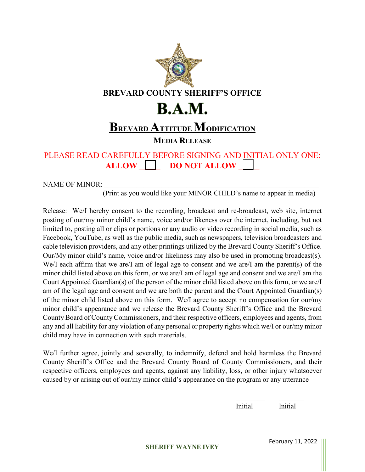

PLEASE READ CAREFULLY BEFORE SIGNING AND INITIAL ONLY ONE: **ALLOW \_\_\_\_\_ DO NOT ALLOW \_\_\_\_\_**

NAME OF MINOR:

(Print as you would like your MINOR CHILD's name to appear in media)

Release: We/I hereby consent to the recording, broadcast and re-broadcast, web site, internet posting of our/my minor child's name, voice and/or likeness over the internet, including, but not limited to, posting all or clips or portions or any audio or video recording in social media, such as Facebook, YouTube, as well as the public media, such as newspapers, television broadcasters and cable television providers, and any other printings utilized by the Brevard County Sheriff's Office. Our/My minor child's name, voice and/or likeliness may also be used in promoting broadcast(s). We/I each affirm that we are/I am of legal age to consent and we are/I am the parent(s) of the minor child listed above on this form, or we are/I am of legal age and consent and we are/I am the Court Appointed Guardian(s) of the person of the minor child listed above on this form, or we are/I am of the legal age and consent and we are both the parent and the Court Appointed Guardian(s) of the minor child listed above on this form. We/I agree to accept no compensation for our/my minor child's appearance and we release the Brevard County Sheriff's Office and the Brevard County Board of County Commissioners, and their respective officers, employees and agents, from any and all liability for any violation of any personal or property rights which we/I or our/my minor child may have in connection with such materials.

We/I further agree, jointly and severally, to indemnify, defend and hold harmless the Brevard County Sheriff's Office and the Brevard County Board of County Commissioners, and their respective officers, employees and agents, against any liability, loss, or other injury whatsoever caused by or arising out of our/my minor child's appearance on the program or any utterance

Initial Initial

 $\_$